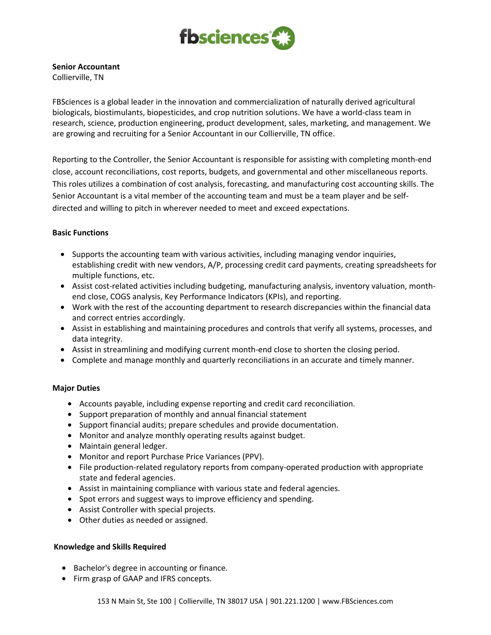

# **Senior Accountant**

Collierville, TN

FBSciences is a global leader in the innovation and commercialization of naturally derived agricultural biologicals, biostimulants, biopesticides, and crop nutrition solutions. We have a world-class team in research, science, production engineering, product development, sales, marketing, and management. We are growing and recruiting for a Senior Accountant in our Collierville, TN office.

Reporting to the Controller, the Senior Accountant is responsible for assisting with completing month-end close, account reconciliations, cost reports, budgets, and governmental and other miscellaneous reports. This roles utilizes a combination of cost analysis, forecasting, and manufacturing cost accounting skills. The Senior Accountant is a vital member of the accounting team and must be a team player and be selfdirected and willing to pitch in wherever needed to meet and exceed expectations.

## **Basic Functions**

- Supports the accounting team with various activities, including managing vendor inquiries, establishing credit with new vendors, A/P, processing credit card payments, creating spreadsheets for multiple functions, etc.
- Assist cost-related activities including budgeting, manufacturing analysis, inventory valuation, monthend close, COGS analysis, Key Performance Indicators (KPIs), and reporting.
- Work with the rest of the accounting department to research discrepancies within the financial data and correct entries accordingly.
- Assist in establishing and maintaining procedures and controls that verify all systems, processes, and data integrity.
- Assist in streamlining and modifying current month-end close to shorten the closing period.
- Complete and manage monthly and quarterly reconciliations in an accurate and timely manner.

## **Major Duties**

- Accounts payable, including expense reporting and credit card reconciliation.
- Support preparation of monthly and annual financial statement
- Support financial audits; prepare schedules and provide documentation.
- Monitor and analyze monthly operating results against budget.
- Maintain general ledger.
- Monitor and report Purchase Price Variances (PPV).
- File production-related regulatory reports from company-operated production with appropriate state and federal agencies.
- Assist in maintaining compliance with various state and federal agencies.
- Spot errors and suggest ways to improve efficiency and spending.
- Assist Controller with special projects.
- Other duties as needed or assigned.

## **Knowledge and Skills Required**

- Bachelor's degree in accounting or finance.
- Firm grasp of GAAP and IFRS concepts.